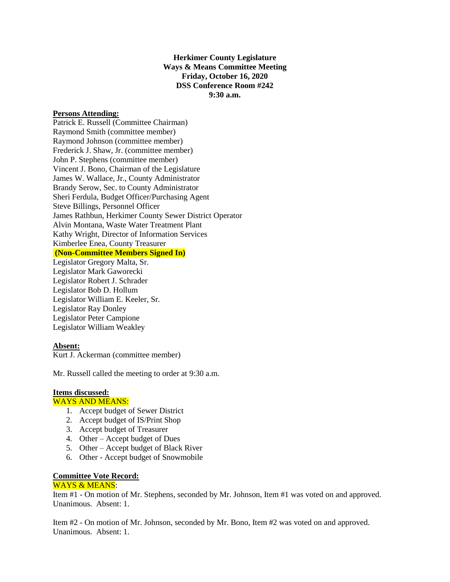### **Herkimer County Legislature Ways & Means Committee Meeting Friday, October 16, 2020 DSS Conference Room #242 9:30 a.m.**

#### **Persons Attending:**

Patrick E. Russell (Committee Chairman) Raymond Smith (committee member) Raymond Johnson (committee member) Frederick J. Shaw, Jr. (committee member) John P. Stephens (committee member) Vincent J. Bono, Chairman of the Legislature James W. Wallace, Jr., County Administrator Brandy Serow, Sec. to County Administrator Sheri Ferdula, Budget Officer/Purchasing Agent Steve Billings, Personnel Officer James Rathbun, Herkimer County Sewer District Operator Alvin Montana, Waste Water Treatment Plant Kathy Wright, Director of Information Services Kimberlee Enea, County Treasurer **(Non-Committee Members Signed In)** Legislator Gregory Malta, Sr. Legislator Mark Gaworecki Legislator Robert J. Schrader Legislator Bob D. Hollum Legislator William E. Keeler, Sr. Legislator Ray Donley Legislator Peter Campione

Legislator William Weakley

### **Absent:**

Kurt J. Ackerman (committee member)

Mr. Russell called the meeting to order at 9:30 a.m.

## **Items discussed:**

# WAYS AND MEANS:

- 1. Accept budget of Sewer District
- 2. Accept budget of IS/Print Shop
- 3. Accept budget of Treasurer
- 4. Other Accept budget of Dues
- 5. Other Accept budget of Black River
- 6. Other Accept budget of Snowmobile

## **Committee Vote Record:**

#### WAYS & MEANS:

Item #1 - On motion of Mr. Stephens, seconded by Mr. Johnson, Item #1 was voted on and approved. Unanimous. Absent: 1.

Item #2 - On motion of Mr. Johnson, seconded by Mr. Bono, Item #2 was voted on and approved. Unanimous. Absent: 1.